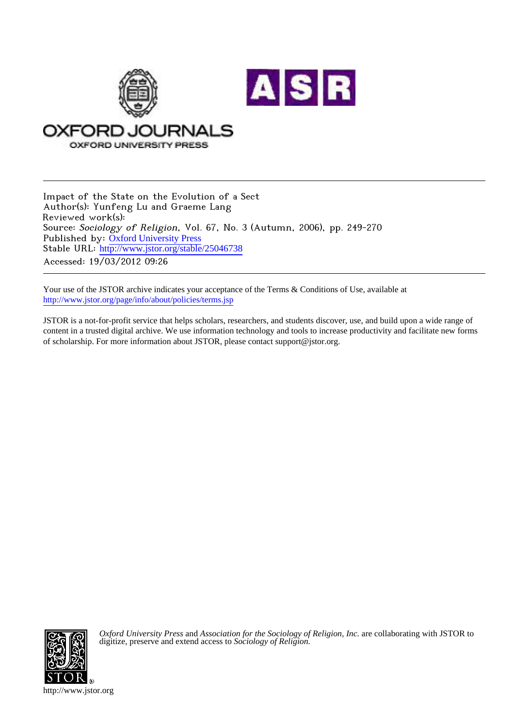

Impact of the State on the Evolution of a Sect Author(s): Yunfeng Lu and Graeme Lang Reviewed work(s): Source: Sociology of Religion, Vol. 67, No. 3 (Autumn, 2006), pp. 249-270 Published by: [Oxford University Press](http://www.jstor.org/action/showPublisher?publisherCode=oup) Stable URL: http://www.jstor.org/stable/25046738 Accessed: 19/03/2012 09:26

Your use of the JSTOR archive indicates your acceptance of the Terms & Conditions of Use, available at <http://www.jstor.org/page/info/about/policies/terms.jsp>

JSTOR is a not-for-profit service that helps scholars, researchers, and students discover, use, and build upon a wide range of content in a trusted digital archive. We use information technology and tools to increase productivity and facilitate new forms of scholarship. For more information about JSTOR, please contact support@jstor.org.



*Oxford University Press* and *Association for the Sociology of Religion, Inc.* are collaborating with JSTOR to digitize, preserve and extend access to *Sociology of Religion.*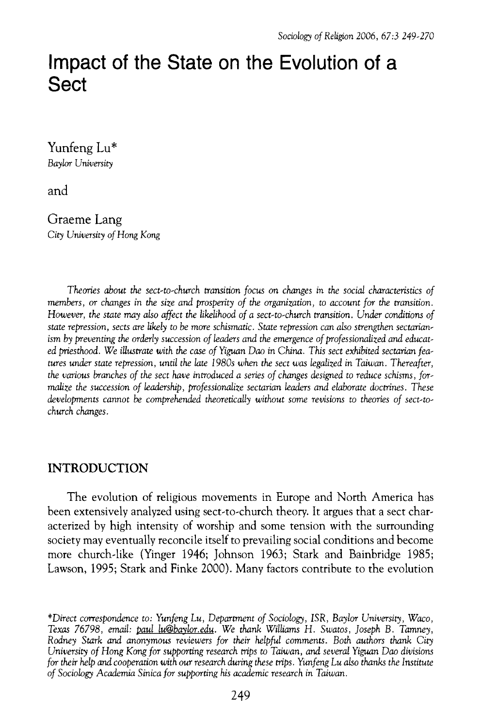# **Impact of the State on the Evolution of a Sect**

**Yunfeng Lu\* Baylor University** 

**and** 

**Graeme Lang City University of Hong Kong** 

**Theories about the sect-to-church transition focus on changes in the social characteristics of members, or changes in the size and prosperity of the organization, to account for the transition. However, the state may also affect the likelihood of a sect-to-church transition. Under conditions of state repression, sects are likely to be more schismatic. State repression can also strengthen sectarian**  ism by preventing the orderly succession of leaders and the emergence of professionalized and educat**ed priesthood. We illustrate with the case of Yiguan Dao in China. This sect exhibited sectarian fea tures under state repression, until the late 1980s when the sect was legalized in Taiwan. Thereafter, the various branches of the sect have introduced a series of changes designed to reduce schisms, for malize the succession of leadership, professionalize sectarian leaders and elaborate doctrines. These**  developments cannot be comprehended theoretically without some revisions to theories of sect-to**church changes.** 

# **INTRODUCTION**

**The evolution of religious movements in Europe and North America has been extensively analyzed using sect-to-church theory. It argues that a sect char acterized by high intensity of worship and some tension with the surrounding society may eventually reconcile itself to prevailing social conditions and become more church-like (Yinger 1946; Johnson 1963; Stark and Bainbridge 1985; Lawson, 1995; Stark and Finke 2000). Many factors contribute to the evolution** 

**<sup>\*</sup>Direct correspondence to: Yunfeng Lu, Department of Sociology, ISR, Baylor University, Waco, Texas 76798, email: paul lu@baylor.edu. We thank Williams H. Swatos, Joseph B. Tamney, Rodney Stark and anonymous reviewers for their helpful comments. Both authors thank City University of Hong Kong for supporting research trips to Taiwan, and several Yiguan Dao divisions for their help and cooperation with our research during these trips. Yunfeng Lu also thanks the Institute**  of Sociology Academia Sinica for supporting his academic research in Taiwan.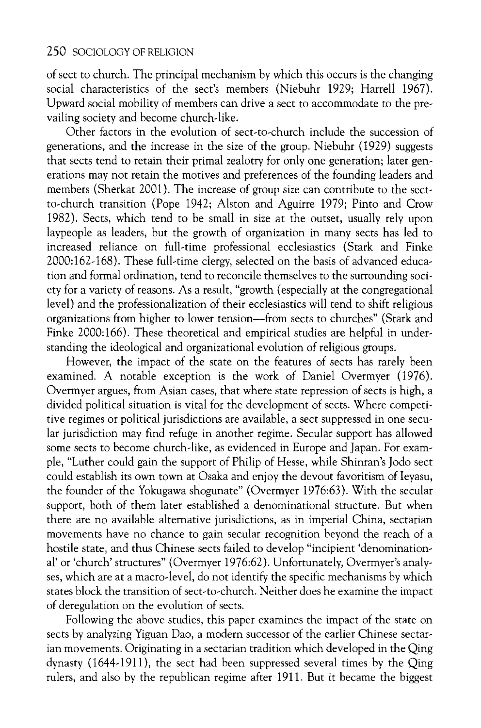**of sect to church. The principal mechanism by which this occurs is the changing social characteristics of the sect's members (Niebuhr 1929; Harrell 1967). Upward social mobility of members can drive a sect to accommodate to the pre vailing society and become church-like.** 

**Other factors in the evolution of sect-to-church include the succession of generations, and the increase in the size of the group. Niebuhr (1929) suggests that sects tend to retain their primal zealotry for only one generation; later gen erations may not retain the motives and preferences of the founding leaders and members (Sherkat 2001). The increase of group size can contribute to the sect to-church transition (Pope 1942; Alston and Aguirre 1979; Pinto and Crow 1982). Sects, which tend to be small in size at the outset, usually rely upon laypeople as leaders, but the growth of organization in many sects has led to increased reliance on full-time professional ecclesiastics (Stark and Finke 2000:162-168). These full-time clergy, selected on the basis of advanced educa tion and formal ordination, tend to reconcile themselves to the surrounding soci ety for a variety of reasons. As a result, "growth (especially at the congregational level) and the professionalization of their ecclesiastics will tend to shift religious**  organizations from higher to lower tension—from sects to churches" (Stark and **Finke 2000:166). These theoretical and empirical studies are helpful in under standing the ideological and organizational evolution of religious groups.** 

**However, the impact of the state on the features of sects has rarely been examined. A notable exception is the work of Daniel Overmyer (1976). Overmyer argues, from Asian cases, that where state repression of sects is high, a divided political situation is vital for the development of sects. Where competi tive regimes or political jurisdictions are available, a sect suppressed in one secu lar jurisdiction may find refuge in another regime. Secular support has allowed some sects to become church-like, as evidenced in Europe and Japan. For exam ple, "Luther could gain the support of Philip of Hesse, while Shinran's Jodo sect could establish its own town at Osaka and enjoy the devout favoritism of Ieyasu, the founder of the Yokugawa shogunate" (Overmyer 1976:63). With the secular support, both of them later established a denominational structure. But when there are no available alternative jurisdictions, as in imperial China, sectarian movements have no chance to gain secular recognition beyond the reach of a hostile state, and thus Chinese sects failed to develop "incipient 'denomination al' or 'church' structures" (Overmyer 1976:62). Unfortunately, Overmyer's analy ses, which are at a macro-level, do not identify the specific mechanisms by which states block the transition of sect-to-church. Neither does he examine the impact of deregulation on the evolution of sects.** 

**Following the above studies, this paper examines the impact of the state on sects by analyzing Yiguan Dao, a modern successor of the earlier Chinese sectar ian movements. Originating in a sectarian tradition which developed in the Qing**  dynasty (1644-1911), the sect had been suppressed several times by the Qing **rulers, and also by the republican regime after 1911. But it became the biggest**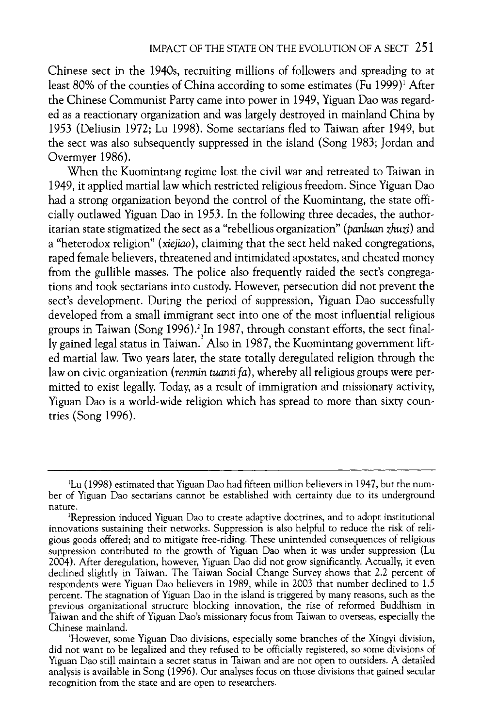**Chinese sect in the 1940s, recruiting millions of followers and spreading to at**  least 80% of the counties of China according to some estimates (Fu 1999)<sup>1</sup> After **the Chinese Communist Party came into power in 1949, Yiguan Dao was regard ed as a reactionary organization and was largely destroyed in mainland China by 1953 (Deliusin 1972; Lu 1998). Some sectarians fled to Taiwan after 1949, but the sect was also subsequently suppressed in the island (Song 1983; Jordan and Overmyer 1986).** 

**When the Kuomintang regime lost the civil war and retreated to Taiwan in 1949, it applied martial law which restricted religious freedom. Since Yiguan Dao**  had a strong organization beyond the control of the Kuomintang, the state offi**cially outlawed Yiguan Dao in 1953. In the following three decades, the author itarian state stigmatized the sect as a "rebellious organization" (panluan zhw?) and a "heterodox religion" (xiejiao), claiming that the sect held naked congregations, raped female believers, threatened and intimidated apostates, and cheated money from the gullible masses. The police also frequently raided the sect's congrega tions and took sectarians into custody. However, persecution did not prevent the sect's development. During the period of suppression, Yiguan Dao successfully developed from a small immigrant sect into one of the most influential religious**  groups in Taiwan (Song 1996).<sup>2</sup> In 1987, through constant efforts, the sect final  $\frac{1}{2}$ **ly gained legal status in Taiwan. Also in 1987, the Kuomintang government lift ed martial law. Two years later, the state totally deregulated religion through the**  law on civic organization (renmin tuanti fa), whereby all religious groups were per**mitted to exist legally. Today, as a result of immigration and missionary activity, Yiguan Dao is a world-wide religion which has spread to more than sixty coun tries (Song 1996).** 

**<sup>\*</sup>Lu (1998) estimated that Yiguan Dao had fifteen million believers in 1947, but the num ber of Yiguan Dao sectarians cannot be established with certainty due to its underground nature.** 

**depression induced Yiguan Dao to create adaptive doctrines, and to adopt institutional**  innovations sustaining their networks. Suppression is also helpful to reduce the risk of reli**gious goods offered; and to mitigate free-riding. These unintended consequences of religious suppression contributed to the growth of Yiguan Dao when it was under suppression (Lu 2004). After deregulation, however, Yiguan Dao did not grow significantly. Actually, it even declined slightly in Taiwan. The Taiwan Social Change Survey shows that 2.2 percent of respondents were Yiguan Dao believers in 1989, while in 2003 that number declined to 1.5 percent. The stagnation of Yiguan Dao in the island is triggered by many reasons, such as the previous organizational structure blocking innovation, the rise of reformed Buddhism in Taiwan and the shift of Yiguan Dao's missionary focus from Taiwan to overseas, especially the Chinese mainland.** 

**<sup>3</sup>However, some Yiguan Dao divisions, especially some branches of the Xingyi division, did not want to be legalized and they refused to be officially registered, so some divisions of Yiguan Dao still maintain a secret status in Taiwan and are not open to outsiders. A detailed analysis is available in Song (1996). Our analyses focus on those divisions that gained secular recognition from the state and are open to researchers.**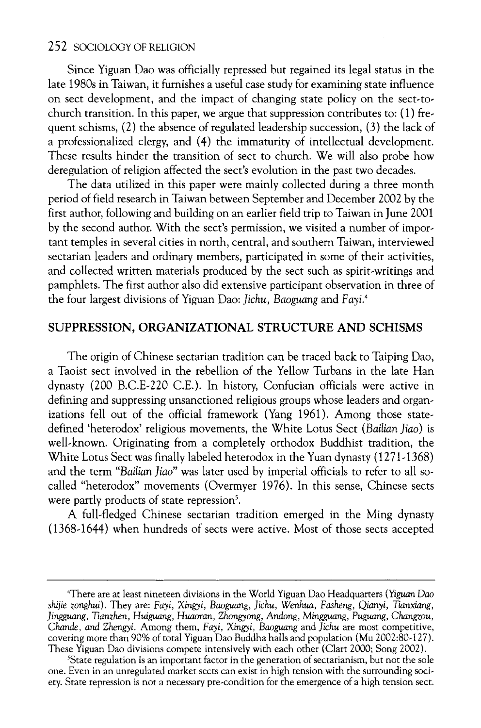**Since Yiguan Dao was officially repressed but regained its legal status in the late 1980s in Taiwan, it furnishes a useful case study for examining state influence on sect development, and the impact of changing state policy on the sect-to church transition. In this paper, we argue that suppression contributes to: (1) fre quent schisms, (2) the absence of regulated leadership succession, (3) the lack of a professionalized clergy, and (4) the immaturity of intellectual development. These results hinder the transition of sect to church. We will also probe how deregulation of religion affected the sect's evolution in the past two decades.** 

**The data utilized in this paper were mainly collected during a three month period of field research in Taiwan between September and December 2002 by the first author, following and building on an earlier field trip to Taiwan in June 2001**  by the second author. With the sect's permission, we visited a number of impor**tant temples in several cities in north, central, and southern Taiwan, interviewed sectarian leaders and ordinary members, participated in some of their activities, and collected written materials produced by the sect such as spirit-writings and pamphlets. The first author also did extensive participant observation in three of the four largest divisions of Yiguan Dao: Jichu, Baoguang and Fayi\*** 

## **SUPPRESSION, ORGANIZATIONAL STRUCTURE AND SCHISMS**

**The origin of Chinese sectarian tradition can be traced back to Taiping Dao, a Taoist sect involved in the rebellion of the Yellow Turbans in the late Han dynasty (200 B.C.E-220 CE.). In history, Confucian officials were active in defining and suppressing unsanctioned religious groups whose leaders and organ izations fell out of the official framework (Yang 1961). Among those state defined 'heterodox' religious movements, the White Lotus Sect (Bailian Jiao) is well-known. Originating from a completely orthodox Buddhist tradition, the White Lotus Sect was finally labeled heterodox in the Yuan dynasty (1271-1368)**  and the term "Bailian Jiao" was later used by imperial officials to refer to all so**called "heterodox" movements (Overmyer 1976). In this sense, Chinese sects**  were partly products of state repression<sup>5</sup>.

**A full-fledged Chinese sectarian tradition emerged in the Ming dynasty (1368-1644) when hundreds of sects were active. Most of those sects accepted** 

**<sup>4</sup>There are at least nineteen divisions in the World Yiguan Dao Headquarters (Yiguan Dao shijie zonghui). They are: Fayi, Xingyi, Baoguang, Jichu, Wenhua, Fasheng, Qianyi, Tianxiang, Jingguang, Tianzhen, Huiguang, Huaoran, Zhongyong, Andong, Mingguang, Puguang, Changzou, Chande, and Zhengyi. Among them, Fayi, Xingyi, Baoguang and Jichu are most competitive, covering more than 90% of total Yiguan Dao Buddha halls and population (Mu 2002:80-127). These Yiguan Dao divisions compete intensively with each other (Clart 2000; Song 2002).** 

**<sup>5</sup>State regulation is an important factor in the generation of sectarianism, but not the sole one. Even in an unregulated market sects can exist in high tension with the surrounding soci ety. State repression is not a necessary pre-condition for the emergence of a high tension sect.**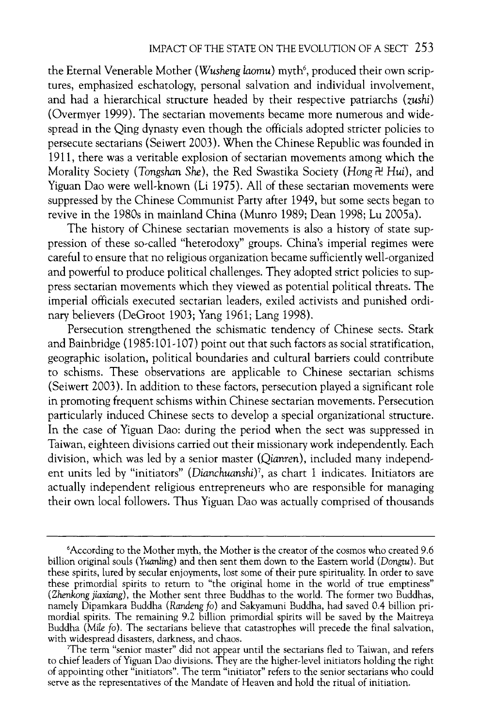the Eternal Venerable Mother (Wusheng laomu) myth<sup>6</sup>, produced their own scrip**tures, emphasized eschatology, personal salvation and individual involvement, and had a hierarchical structure headed by their respective patriarchs (zushi) (Overmyer 1999). The sectarian movements became more numerous and wide spread in the Qing dynasty even though the officials adopted stricter policies to persecute sectarians (Seiwert 2003). When the Chinese Republic was founded in 1911, there was a veritable explosion of sectarian movements among which the**  Morality Society (Tongshan She), the Red Swastika Society (Hong <del>R</del> Hui), and **Yiguan Dao were well-known (Li 1975). All of these sectarian movements were suppressed by the Chinese Communist Party after 1949, but some sects began to revive in the 1980s in mainland China (Munro 1989; Dean 1998; Lu 2005a).** 

**The history of Chinese sectarian movements is also a history of state sup pression of these so-called "heterodoxy" groups. China's imperial regimes were careful to ensure that no religious organization became sufficiently well-organized and powerful to produce political challenges. They adopted strict policies to sup press sectarian movements which they viewed as potential political threats. The**  imperial officials executed sectarian leaders, exiled activists and punished ordi**nary believers (DeGroot 1903; Yang 1961; Lang 1998).** 

**Persecution strengthened the schismatic tendency of Chinese sects. Stark and Bainbridge (1985:101-107) point out that such factors as social stratification, geographic isolation, political boundaries and cultural barriers could contribute to schisms. These observations are applicable to Chinese sectarian schisms (Seiwert 2003). In addition to these factors, persecution played a significant role in promoting frequent schisms within Chinese sectarian movements. Persecution particularly induced Chinese sects to develop a special organizational structure. In the case of Yiguan Dao: during the period when the sect was suppressed in Taiwan, eighteen divisions carried out their missionary work independently. Each division, which was led by a senior master (Qianren), included many independ**  ent units led by "initiators" (Dianchuanshi)<sup>7</sup>, as chart 1 indicates. Initiators are **actually independent religious entrepreneurs who are responsible for managing their own local followers. Thus Yiguan Dao was actually comprised of thousands** 

**<sup>6</sup>According to the Mother myth, the Mother is the creator of the cosmos who created 9.6 billion original souls (Yuanling) and then sent them down to the Eastern world (Dongtu). But these spirits, lured by secular enjoyments, lost some of their pure spirituality. In order to save these primordial spirits to return to "the original home in the world of true emptiness" (Zhenkong jiaxiang), the Mother sent three Buddhas to the world. The former two Buddhas, namely Dipamkara Buddha (Randeng fo) and Sakyamuni Buddha, had saved 0.4 billion pri mordial spirits. The remaining 9.2 billion primordial spirits will be saved by the Maitreya Buddha (Mile fo). The sectarians believe that catastrophes will precede the final salvation,** 

<sup>&</sup>lt;sup>T</sup>he term "senior master" did not appear until the sectarians fled to Taiwan, and refers **The term "senior master" did not appear until the sectarians fled to Taiwan, and refers to chief leaders of Yiguan Dao divisions. They are the higher-level initiators holding the right of appointing other "initiators". The term "initiator" refers to the senior sectarians who could serve as the representatives of the Mandate of Heaven and hold the ritual of initiation.**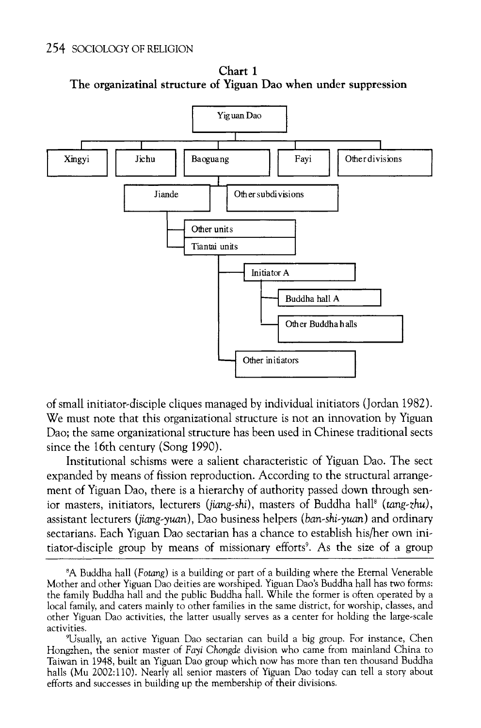

**Chart 1 The organizatinal structure of Yiguan Dao when under suppression** 

**of small initiator-disciple cliques managed by individual initiators (Jordan 1982). We must note that this organizational structure is not an innovation by Yiguan Dao; the same organizational structure has been used in Chinese traditional sects since the 16th century (Song 1990).** 

**Institutional schisms were a salient characteristic of Yiguan Dao. The sect expanded by means of fission reproduction. According to the structural arrange ment of Yiguan Dao, there is a hierarchy of authority passed down through sen**  ior masters, initiators, lecturers (jiang-shi), masters of Buddha hall<sup>8</sup> (tang-zhu), assistant lecturers (jiang-yuan), Dao business helpers (ban-shi-yuan) and ordinary **sectarians. Each Yiguan Dao sectarian has a chance to establish his/her own ini**  tiator-disciple group by means of missionary efforts<sup>9</sup>. As the size of a group

**<sup>8</sup>A Buddha hall (Fotang) is a building or part of a building where the Eternal Venerable Mother and other Yiguan Dao deities are worshiped. Yiguan Dao's Buddha hall has two forms: the family Buddha hall and the public Buddha hall. While the former is often operated by a local family, and caters mainly to other families in the same district, for worship, classes, and other Yiguan Dao activities, the latter usually serves as a center for holding the large-scale activities.** 

**<sup>9</sup>Usually, an active Yiguan Dao sectarian can build a big group. For instance, Chen Hongzhen, the senior master of Fayi Chongde division who came from mainland China to Taiwan in 1948, built an Yiguan Dao group which now has more than ten thousand Buddha halls (Mu 2002:110). Nearly all senior masters of Yiguan Dao today can tell a story about efforts and successes in building up the membership of their divisions.**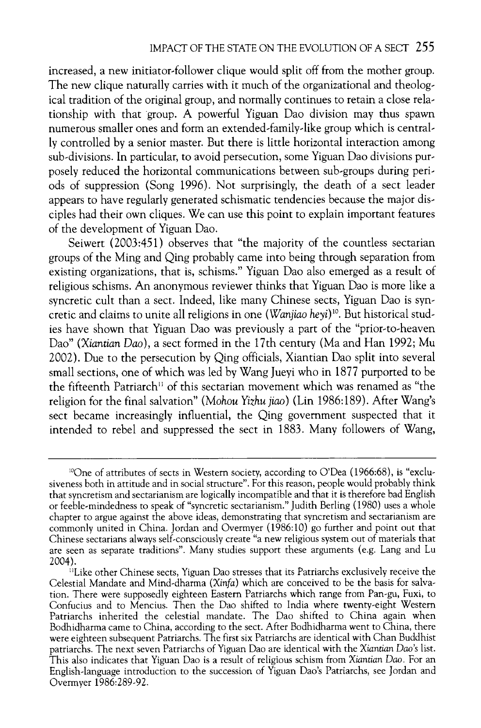**increased, a new initiator-follower clique would split off from the mother group.**  The new clique naturally carries with it much of the organizational and theolog**ical tradition of the original group, and normally continues to retain a close rela tionship with that group. A powerful Yiguan Dao division may thus spawn numerous smaller ones and form an extended-family-like group which is central ly controlled by a senior master. But there is little horizontal interaction among sub-divisions. In particular, to avoid persecution, some Yiguan Dao divisions pur posely reduced the horizontal communications between sub-groups during peri ods of suppression (Song 1996). Not surprisingly, the death of a sect leader appears to have regularly generated schismatic tendencies because the major dis ciples had their own cliques. We can use this point to explain important features of the development of Yiguan Dao.** 

**Seiwert (2003:451) observes that "the majority of the countless sectarian groups of the Ming and Qing probably came into being through separation from existing organizations, that is, schisms." Yiguan Dao also emerged as a result of religious schisms. An anonymous reviewer thinks that Yiguan Dao is more like a syncretic cult than a sect. Indeed, like many Chinese sects, Yiguan Dao is syn**  cretic and claims to unite all religions in one (*Wanjiao heyi*)<sup>10</sup>. But historical stud**ies have shown that Yiguan Dao was previously a part of the "prior-to-heaven Dao" (Xiantian Dao), a sect formed in the 17th century (Ma and Han 1992; Mu 2002). Due to the persecution by Qing officials, Xiantian Dao split into several**  small sections, one of which was led by Wang Jueyi who in 1877 purported to be the fifteenth Patriarch<sup>11</sup> of this sectarian movement which was renamed as "the **religion for the final salvation" (Mohou Yizhujiao) (Lin 1986:189). After Wang's sect became increasingly influential, the Qing government suspected that it intended to rebel and suppressed the sect in 1883. Many followers of Wang,** 

<sup>&</sup>lt;sup>10</sup>One of attributes of sects in Western society, according to O'Dea (1966:68), is "exclusiveness both in attitude and in social structure". For this reason, people would probably think that syncretism and sectarianism are logically incompatible and that it is therefore bad English **that syncretism and sectarianism are logically incompatible and that it is therefore bad English or feeble-mindedness to speak of "syncretic sectarianism." Judith Berling (1980) uses a whole chapter to argue against the above ideas, demonstrating that syncretism and sectarianism are commonly united in China. Jordan and Overmyer (1986:10) go further and point out that Chinese sectarians always self-consciously create "a new religious system out of materials that are seen as separate traditions". Many studies support these arguments (e.g. Lang and Lu 2004).** 

**nLike other Chinese sects, Yiguan Dao stresses that its Patriarchs exclusively receive the Celestial Mandate and Mind-dharma (Xinfa) which are conceived to be the basis for salva tion. There were supposedly eighteen Eastern Patriarchs which range from Pan-gu, Fuxi, to Confucius and to Mencius. Then the Dao shifted to India where twenty-eight Western Patriarchs inherited the celestial mandate. The Dao shifted to China again when Bodhidharma came to China, according to the sect. After Bodhidharma went to China, there were eighteen subsequent Patriarchs. The first six Patriarchs are identical with Chan Buddhist patriarchs. The next seven Patriarchs of Yiguan Dao are identical with the Xiantian Daos list. This also indicates that Yiguan Dao is a result of religious schism from Xiantian Dao. For an English-language introduction to the succession of Yiguan Dao's Patriarchs, see Jordan and Overmyer 1986:289-92.**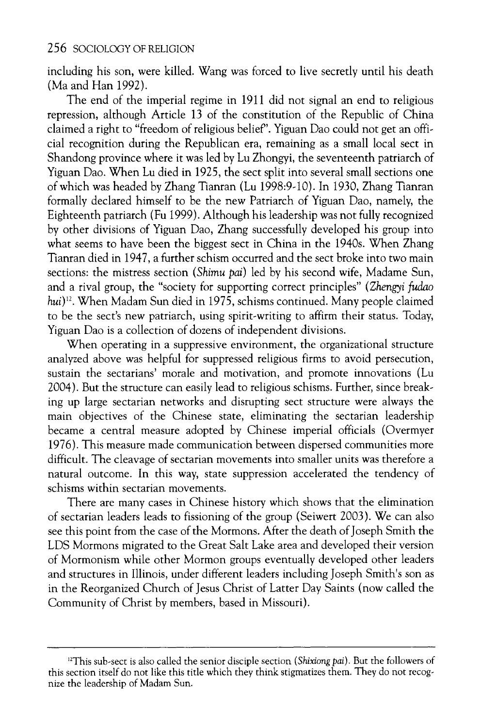**including his son, were killed. Wang was forced to live secretly until his death (Ma and Han 1992).** 

**The end of the imperial regime in 1911 did not signal an end to religious repression, although Article 13 of the constitution of the Republic of China**  claimed a right to "freedom of religious belief". Yiguan Dao could not get an offi**cial recognition during the Republican era, remaining as a small local sect in Shandong province where it was led by Lu Zhongyi, the seventeenth patriarch of Yiguan Dao. When Lu died in 1925, the sect split into several small sections one of which was headed by Zhang Tianran (Lu 1998:9-10). In 1930, Zhang Tianran formally declared himself to be the new Patriarch of Yiguan Dao, namely, the Eighteenth patriarch (Fu 1999). Although his leadership was not fully recognized by other divisions of Yiguan Dao, Zhang successfully developed his group into what seems to have been the biggest sect in China in the 1940s. When Zhang Tianran died in 1947, a further schism occurred and the sect broke into two main**  sections: the mistress section (Shimu pai) led by his second wife, Madame Sun, **and a rival group, the "society for supporting correct principles" (Zhengyi fudao hui)12. When Madam Sun died in 1975, schisms continued. Many people claimed to be the sect's new patriarch, using spirit-writing to affirm their status. Today, Yiguan Dao is a collection of dozens of independent divisions.** 

**When operating in a suppressive environment, the organizational structure analyzed above was helpful for suppressed religious firms to avoid persecution, sustain the sectarians' morale and motivation, and promote innovations (Lu 2004). But the structure can easily lead to religious schisms. Further, since break ing up large sectarian networks and disrupting sect structure were always the main objectives of the Chinese state, eliminating the sectarian leadership became a central measure adopted by Chinese imperial officials (Overmyer 1976). This measure made communication between dispersed communities more difficult. The cleavage of sectarian movements into smaller units was therefore a natural outcome. In this way, state suppression accelerated the tendency of schisms within sectarian movements.** 

**There are many cases in Chinese history which shows that the elimination of sectarian leaders leads to fissioning of the group (Seiwert 2003). We can also see this point from the case of the Mormons. After the death of Joseph Smith the LDS Mormons migrated to the Great Salt Lake area and developed their version of Mormonism while other Mormon groups eventually developed other leaders and structures in Illinois, under different leaders including Joseph Smith's son as in the Reorganized Church of Jesus Christ of Latter Day Saints (now called the Community of Christ by members, based in Missouri).** 

<sup>&</sup>lt;sup>12</sup>This sub-sect is also called the senior disciple section (Shixiong pai). But the followers of **this section itself do not like this title which they think stigmatizes them. They do not recog nize the leadership of Madam Sun.**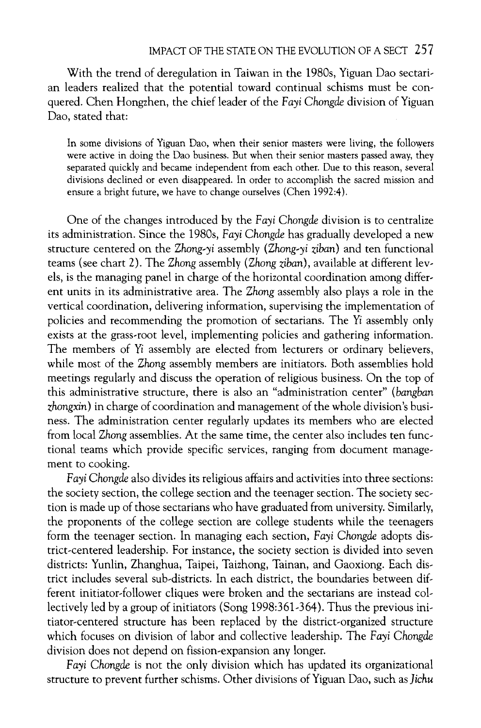**With the trend of deregulation in Taiwan in the 1980s, Yiguan Dao sectari**  an leaders realized that the potential toward continual schisms must be con**quered. Chen Hongzhen, the chief leader of the Fa^z Chongde division of Yiguan Dao, stated that:** 

**In some divisions of Yiguan Dao, when their senior masters were living, the followers were active in doing the Dao business. But when their senior masters passed away, they separated quickly and became independent from each other. Due to this reason, several divisions declined or even disappeared. In order to accomplish the sacred mission and ensure a bright future, we have to change ourselves (Chen 1992:4).** 

**One of the changes introduced by the Fayi Chongde division is to centralize its administration. Since the 1980s, Fayi Chongde has gradually developed a new structure centered on the Zhong-yi assembly (Zhong-yi zfban) and ten functional**  teams (see chart 2). The Zhong assembly (Zhong ziban), available at different lev**els, is the managing panel in charge of the horizontal coordination among differ ent units in its administrative area. The Zhong assembly also plays a role in the vertical coordination, delivering information, supervising the implementation of**  policies and recommending the promotion of sectarians. The Yi assembly only **exists at the grass-root level, implementing policies and gathering information.**  The members of Yi assembly are elected from lecturers or ordinary believers, **while most of the Zhong assembly members are initiators. Both assemblies hold meetings regularly and discuss the operation of religious business. On the top of this administrative structure, there is also an "administration center" (bangban zhongxin) in charge of coordination and management of the whole division's busi ness. The administration center regularly updates its members who are elected from local Zhong assemblies. At the same time, the center also includes ten func tional teams which provide specific services, ranging from document manage ment to cooking.** 

**Fayi Chongde also divides its religious affairs and activities into three sections: the society section, the college section and the teenager section. The society sec tion is made up of those sectarians who have graduated from university. Similarly, the proponents of the college section are college students while the teenagers form the teenager section. In managing each section, Fayi Chongde adopts dis trict-centered leadership. For instance, the society section is divided into seven districts: Yunlin, Zhanghua, Taipei, Taizhong, Tainan, and Gaoxiong. Each dis trict includes several sub-districts. In each district, the boundaries between dif ferent initiator-follower cliques were broken and the sectarians are instead col lectively led by a group of initiators (Song 1998:361-364). Thus the previous ini tiator-centered structure has been replaced by the district-organized structure which focuses on division of labor and collective leadership. The Fayi Chongde division does not depend on fission-expansion any longer.** 

**Fayi Chongde is not the only division which has updated its organizational structure to prevent further schisms. Other divisions of Yiguan Dao, such as Jichu**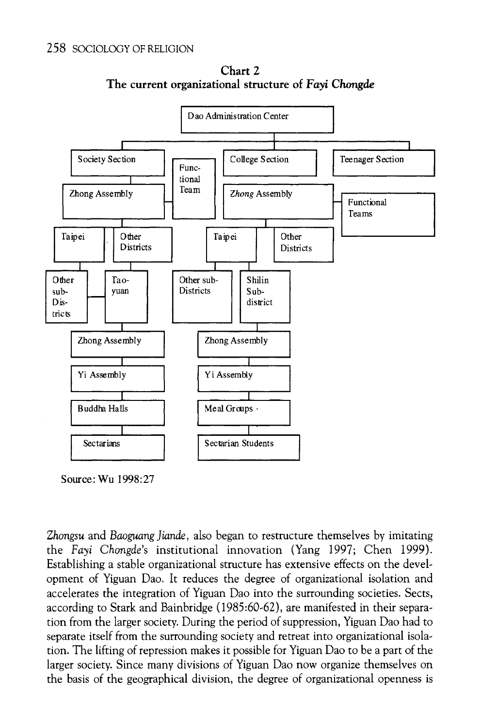

**Chart 2 The current organizational structure of Fayi Chongde** 

**Source: Wu 1998:27** 

**Zhongsu and Baoguang Jiande, also began to restructure themselves by imitating the Fayi Chongde's institutional innovation (Yang 1997; Chen 1999). Establishing a stable organizational structure has extensive effects on the devel opment of Yiguan Dao. It reduces the degree of organizational isolation and accelerates the integration of Yiguan Dao into the surrounding societies. Sects, according to Stark and Bainbridge (1985:60-62), are manifested in their separa tion from the larger society. During the period of suppression, Yiguan Dao had to separate itself from the surrounding society and retreat into organizational isola tion. The lifting of repression makes it possible for Yiguan Dao to be a part of the larger society. Since many divisions of Yiguan Dao now organize themselves on the basis of the geographical division, the degree of organizational openness is**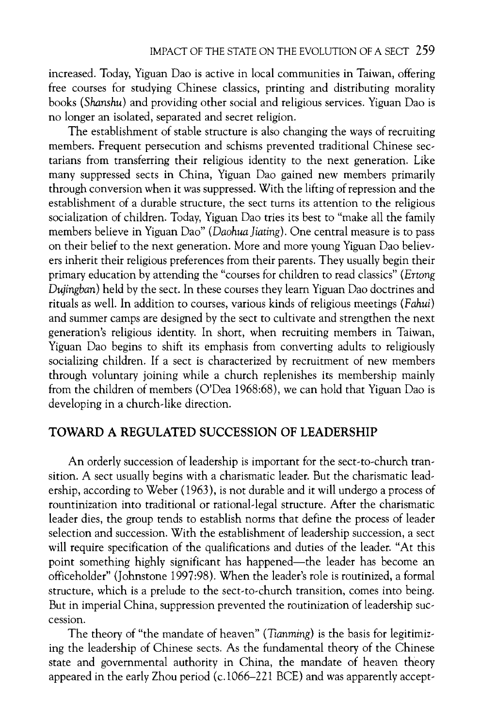**increased. Today, Yiguan Dao is active in local communities in Taiwan, offering free courses for studying Chinese classics, printing and distributing morality books (Shanshu) and providing other social and religious services. Yiguan Dao is no longer an isolated, separated and secret religion.** 

**The establishment of stable structure is also changing the ways of recruiting members. Frequent persecution and schisms prevented traditional Chinese sec tarians from transferring their religious identity to the next generation. Like many suppressed sects in China, Yiguan Dao gained new members primarily through conversion when it was suppressed. With the lifting of repression and the establishment of a durable structure, the sect turns its attention to the religious socialization of children. Today, Yiguan Dao tries its best to "make all the family**  members believe in Yiguan Dao" (Daohua Jiating). One central measure is to pass **on their belief to the next generation. More and more young Yiguan Dao believ ers inherit their religious preferences from their parents. They usually begin their primary education by attending the "courses for children to read classics" (Ertong Dujingban) held by the sect. In these courses they learn Yiguan Dao doctrines and rituals as well. In addition to courses, various kinds of religious meetings (Fahui) and summer camps are designed by the sect to cultivate and strengthen the next generation's religious identity. In short, when recruiting members in Taiwan, Yiguan Dao begins to shift its emphasis from converting adults to religiously socializing children. If a sect is characterized by recruitment of new members through voluntary joining while a church replenishes its membership mainly from the children of members (O'Dea 1968:68), we can hold that Yiguan Dao is developing in a church-like direction.** 

# **TOWARD A REGULATED SUCCESSION OF LEADERSHIP**

**An orderly succession of leadership is important for the sect-to-church tran sition. A sect usually begins with a charismatic leader. But the charismatic lead ership, according to Weber (1963), is not durable and it will undergo a process of rountinization into traditional or rational-legal structure. After the charismatic leader dies, the group tends to establish norms that define the process of leader selection and succession. With the establishment of leadership succession, a sect will require specification of the qualifications and duties of the leader. "At this**  point something highly significant has happened—the leader has become an **officeholder" (Johnstone 1997:98). When the leader's role is routinized, a formal structure, which is a prelude to the sect-to-church transition, comes into being. But in imperial China, suppression prevented the routinization of leadership suc cession.** 

**The theory of "the mandate of heaven" (Tianming) is the basis for legitimiz ing the leadership of Chinese sects. As the fundamental theory of the Chinese state and governmental authority in China, the mandate of heaven theory**  appeared in the early Zhou period (c.1066–221 BCE) and was apparently accepted **by**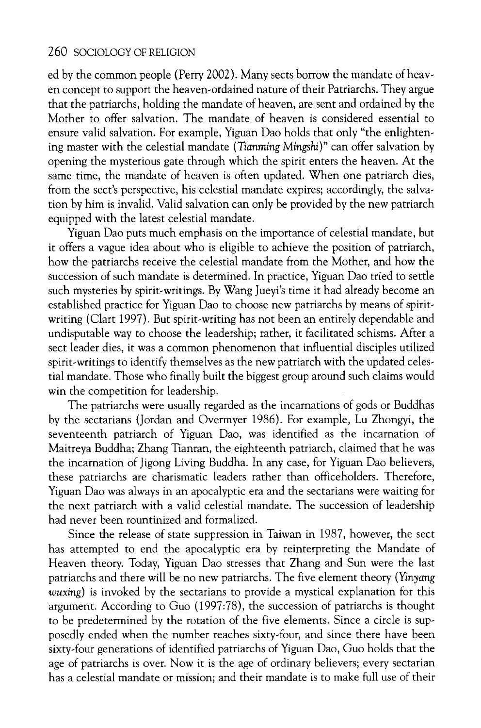**ed by the common people (Perry 2002). Many sects borrow the mandate of heav en concept to support the heaven-ordained nature of their Patriarchs. They argue that the patriarchs, holding the mandate of heaven, are sent and ordained by the Mother to offer salvation. The mandate of heaven is considered essential to ensure valid salvation. For example, Yiguan Dao holds that only "the enlighten**  ing master with the celestial mandate (Tianming Mingshi)" can offer salvation by **opening the mysterious gate through which the spirit enters the heaven. At the same time, the mandate of heaven is often updated. When one patriarch dies, from the sect's perspective, his celestial mandate expires; accordingly, the salva tion by him is invalid. Valid salvation can only be provided by the new patriarch equipped with the latest celestial mandate.** 

**Yiguan Dao puts much emphasis on the importance of celestial mandate, but it offers a vague idea about who is eligible to achieve the position of patriarch, how the patriarchs receive the celestial mandate from the Mother, and how the succession of such mandate is determined. In practice, Yiguan Dao tried to settle such mysteries by spirit-writings. By Wang Jueyi's time it had already become an established practice for Yiguan Dao to choose new patriarchs by means of spirit writing (Clart 1997). But spirit-writing has not been an entirely dependable and undisputable way to choose the leadership; rather, it facilitated schisms. After a sect leader dies, it was a common phenomenon that influential disciples utilized spirit-writings to identify themselves as the new patriarch with the updated celes tial mandate. Those who finally built the biggest group around such claims would win the competition for leadership.** 

**The patriarchs were usually regarded as the incarnations of gods or Buddhas by the sectarians (Jordan and Overmyer 1986). For example, Lu Zhongyi, the seventeenth patriarch of Yiguan Dao, was identified as the incarnation of Maitreya Buddha; Zhang Tianran, the eighteenth patriarch, claimed that he was the incarnation of Jigong Living Buddha. In any case, for Yiguan Dao believers, these patriarchs are charismatic leaders rather than officeholders. Therefore, Yiguan Dao was always in an apocalyptic era and the sectarians were waiting for the next patriarch with a valid celestial mandate. The succession of leadership had never been rountinized and formalized.** 

**Since the release of state suppression in Taiwan in 1987, however, the sect has attempted to end the apocalyptic era by reinterpreting the Mandate of Heaven theory. Today, Yiguan Dao stresses that Zhang and Sun were the last patriarchs and there will be no new patriarchs. The five element theory (Yinyang wuxing) is invoked by the sectarians to provide a mystical explanation for this argument. According to Guo (1997:78), the succession of patriarchs is thought to be predetermined by the rotation of the five elements. Since a circle is sup posedly ended when the number reaches sixty-four, and since there have been sixty-four generations of identified patriarchs of Yiguan Dao, Guo holds that the age of patriarchs is over. Now it is the age of ordinary believers; every sectarian has a celestial mandate or mission; and their mandate is to make full use of their**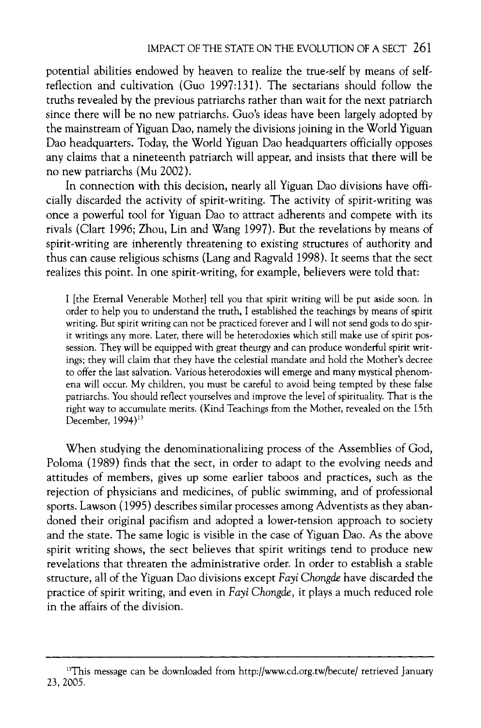potential abilities endowed by heaven to realize the true-self by means of self**reflection and cultivation (Guo 1997:131). The sectarians should follow the truths revealed by the previous patriarchs rather than wait for the next patriarch since there will be no new patriarchs. Guo's ideas have been largely adopted by the mainstream of Yiguan Dao, namely the divisions joining in the World Yiguan Dao headquarters. Today, the World Yiguan Dao headquarters officially opposes any claims that a nineteenth patriarch will appear, and insists that there will be no new patriarchs (Mu 2002).** 

In connection with this decision, nearly all Yiguan Dao divisions have offi**cially discarded the activity of spirit-writing. The activity of spirit-writing was once a powerful tool for Yiguan Dao to attract adherents and compete with its rivals (Clart 1996; Zhou, Lin and Wang 1997). But the revelations by means of spirit-writing are inherently threatening to existing structures of authority and thus can cause religious schisms (Lang and Ragvald 1998). It seems that the sect realizes this point. In one spirit-writing, for example, believers were told that:** 

**I [the Eternal Venerable Mother] tell you that spirit writing will be put aside soon. In order to help you to understand the truth, I established the teachings by means of spirit writing. But spirit writing can not be practiced forever and I will not send gods to do spir**  it writings any more. Later, there will be heterodoxies which still make use of spirit possession. They will be equipped with great theurgy and can produce wonderful spirit writ**ings; they will claim that they have the celestial mandate and hold the Mother's decree to offer the last salvation. Various heterodoxies will emerge and many mystical phenom ena will occur. My children, you must be careful to avoid being tempted by these false patriarchs. You should reflect yourselves and improve the level of spirituality. That is the right way to accumulate merits. (Kind Teachings from the Mother, revealed on the 15th December, 1994)13** 

**When studying the denominationalizing process of the Assemblies of God, Poloma (1989) finds that the sect, in order to adapt to the evolving needs and attitudes of members, gives up some earlier taboos and practices, such as the rejection of physicians and medicines, of public swimming, and of professional sports. Lawson (1995) describes similar processes among Adventists as they aban doned their original pacifism and adopted a lower-tension approach to society and the state. The same logic is visible in the case of Yiguan Dao. As the above spirit writing shows, the sect believes that spirit writings tend to produce new revelations that threaten the administrative order. In order to establish a stable**  structure, all of the Yiguan Dao divisions except Fayi Chongde have discarded the **practice of spirit writing, and even in Fayi Chongde, it plays a much reduced role in the affairs of the division.** 

<sup>&</sup>lt;sup>13</sup>This message can be downloaded from http://www.cd.org.tw/becute/ retrieved January **23, 2005.**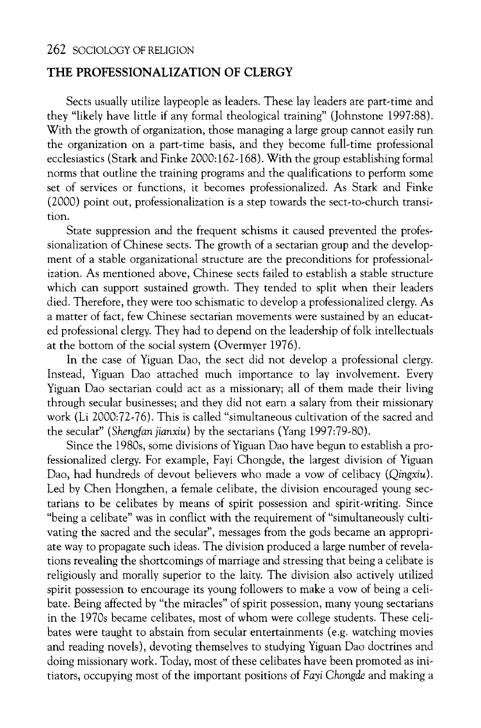## **THE PROFESSIONALIZATION OF CLERGY**

**Sects usually utilize laypeople as leaders. These lay leaders are part-time and they "likely have little if any formal theological training" (Johnstone 1997:88). With the growth of organization, those managing a large group cannot easily run the organization on a part-time basis, and they become full-time professional ecclesiastics (Stark and Finke 2000:162-168). With the group establishing formal norms that outline the training programs and the qualifications to perform some set of services or functions, it becomes professionalized. As Stark and Finke (2000) point out, professionalization is a step towards the sect-to-church transi tion.** 

**State suppression and the frequent schisms it caused prevented the profes sionalization of Chinese sects. The growth of a sectarian group and the develop ment of a stable organizational structure are the preconditions for professional ization. As mentioned above, Chinese sects failed to establish a stable structure which can support sustained growth. They tended to split when their leaders died. Therefore, they were too schismatic to develop a professionalized clergy. As a matter of fact, few Chinese sectarian movements were sustained by an educat ed professional clergy. They had to depend on the leadership of folk intellectuals at the bottom of the social system (Overmyer 1976).** 

**In the case of Yiguan Dao, the sect did not develop a professional clergy. Instead, Yiguan Dao attached much importance to lay involvement. Every Yiguan Dao sectarian could act as a missionary; all of them made their living through secular businesses; and they did not earn a salary from their missionary work (Li 2000:72-76). This is called "simultaneous cultivation of the sacred and the secular" (Shengfan jianxiu) by the sectarians (Yang 1997:79-80).** 

Since the 1980s, some divisions of Yiguan Dao have begun to establish a professionalized clergy. For example, Fayi Chongde, the largest division of Yiguan **fessionalized clergy. For example, Fayi Chongde, the largest division of Tigua** Dao, had hundreds of devout believers who made a vow of celibacy (Q*ingxiu*). Led by Chen Hongzhen, a female celibate, the division encouraged young sec**tarians to be celibates by means of spirit possession and spirit-writing. Since**  "being a celibate" was in conflict with the requirement of "simultaneously cultivating the sacred and the secular", messages from the gods became an appropri**ate way to propagate such ideas. The division produced a large number of revela tions revealing the shortcomings of marriage and stressing that being a celibate is religiously and morally superior to the laity. The division also actively utilized spirit possession to encourage its young followers to make a vow of being a celi bate. Being affected by "the miracles" of spirit possession, many young sectarians**  in the 1970s became celibates, most of whom were college students. These celi**bates were taught to abstain from secular entertainments (e.g. watching movies and reading novels), devoting themselves to studying Yiguan Dao doctrines and doing missionary work. Today, most of these celibates have been promoted as ini**  tiators, occupying most of the important positions of Fayi Chongde and making a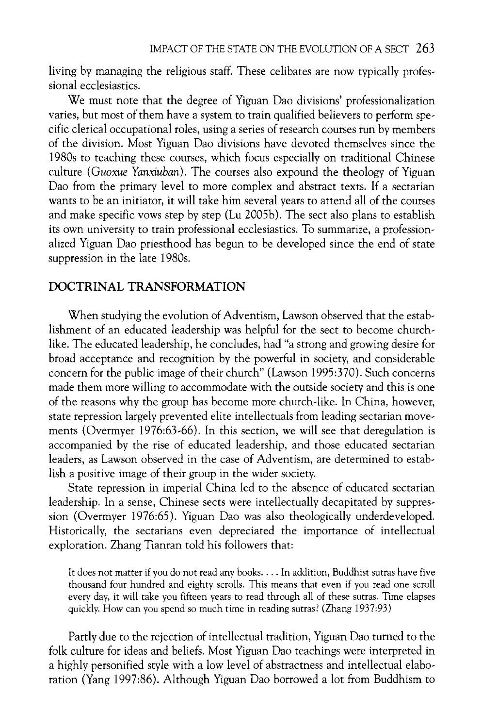living by managing the religious staff. These celibates are now typically profes**sional ecclesiastics.** 

**We must note that the degree of Yiguan Dao divisions' professionalization varies, but most of them have a system to train qualified believers to perform spe cific clerical occupational roles, using a series of research courses run by members of the division. Most Yiguan Dao divisions have devoted themselves since the 1980s to teaching these courses, which focus especially on traditional Chinese culture (Guoxue Yanxiuban). The courses also expound the theology of Yiguan Dao from the primary level to more complex and abstract texts. If a sectarian wants to be an initiator, it will take him several years to attend all of the courses and make specific vows step by step (Lu 2005b). The sect also plans to establish**  its own university to train professional ecclesiastics. To summarize, a profession**alized Yiguan Dao priesthood has begun to be developed since the end of state suppression in the late 1980s.** 

# **DOCTRINAL TRANSFORMATION**

When studying the evolution of Adventism, Lawson observed that the establishment of an educated leadership was helpful for the sect to become church**like. The educated leadership, he concludes, had "a strong and growing desire for broad acceptance and recognition by the powerful in society, and considerable concern for the public image of their church" (Lawson 1995:370). Such concerns made them more willing to accommodate with the outside society and this is one of the reasons why the group has become more church-like. In China, however, state repression largely prevented elite intellectuals from leading sectarian move ments (Overmyer 1976:63-66). In this section, we will see that deregulation is accompanied by the rise of educated leadership, and those educated sectarian**  leaders, as Lawson observed in the case of Adventism, are determined to estab**lish a positive image of their group in the wider society.** 

**State repression in imperial China led to the absence of educated sectarian**  leadership. In a sense, Chinese sects were intellectually decapitated by suppres**sion (Overmyer 1976:65). Yiguan Dao was also theologically underdeveloped. Historically, the sectarians even depreciated the importance of intellectual exploration. Zhang Tianran told his followers that:** 

**It does not matter if you do not read any books.... In addition, Buddhist sutras have five thousand four hundred and eighty scrolls. This means that even if you read one scroll every day, it will take you fifteen years to read through all of these sutras. Time elapses quickly. How can you spend so much time in reading sutras? (Zhang 1937:93)** 

**Partly due to the rejection of intellectual tradition, Yiguan Dao turned to the folk culture for ideas and beliefs. Most Yiguan Dao teachings were interpreted in a highly personified style with a low level of abstractness and intellectual elabo ration (Yang 1997:86). Although Yiguan Dao borrowed a lot from Buddhism to**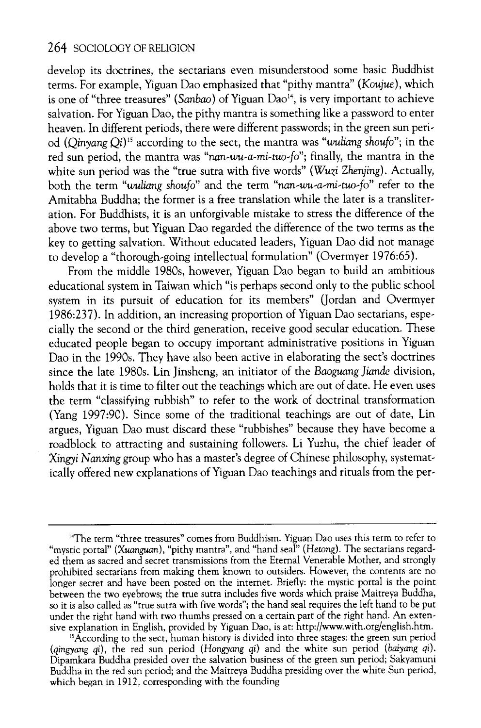**develop its doctrines, the sectarians even misunderstood some basic Buddhist terms. For example, Tiguan Dao emphasized that "pithy mantra" (Koujue), which is a set of the set of the set of the set of the set of the set of the set of the set of the set of the set of the set of the set of the set of is one of "three treasures" (Sanbao) or Tiguan Dao", is very important to achieve**  $\overline{P}$ **salvation. For Yiguan Dao, the pithy mantra is something like a password to enter heaven. In different periods, there were different passwords; in the green sun peri**  od (Qinyang Qi)<sup>15</sup> according to the sect, the mantra was "wuliang shoufo"; in the red sun period, the mantra was "nan-wu-a-mi-tuo-fo"; finally, the mantra in the white sun period was the "true sutra with five words" (Wuzi Zhenjing). Actually, **white sun period was the "true sutra with five words" (Wuzi Zhenjing). Actual** both the term "wuliang shoufo" and the term "*nan-wu-a-mi-tuo-fo*" refer to the **Amitabha Buddha; the former is a free translation while the later is a transliter ation. For Buddhists, it is an unforgivable mistake to stress the difference of the above two terms, but Yiguan Dao regarded the difference of the two terms as the key to getting salvation. Without educated leaders, Yiguan Dao did not manage to develop a "thorough-going intellectual formulation" (Overmyer 1976:65).** 

**From the middle 1980s, however, Yiguan Dao began to build an ambitious educational system in Taiwan which "is perhaps second only to the public school system in its pursuit of education for its members" (Jordan and Overmyer 1986:237). In addition, an increasing proportion of Yiguan Dao sectarians, espe cially the second or the third generation, receive good secular education. These**  educated people began to occupy important administrative positions in Tiguan *n* **Dao in the 1990s. They have also been active in elaborating the sect's doctrines since the late 1980s. Lin Jinsheng, an initiator of the Baoguang Jiande division, holds that it is time to filter out the teachings which are out of date. He even uses the term "classifying rubbish" to refer to the work of doctrinal transformation (Yang 1997:90). Since some of the traditional teachings are out of date, Lin argues, Yiguan Dao must discard these "rubbishes" because they have become a roadblock to attracting and sustaining followers. Li Yuzhu, the chief leader of Xingyi Nanxing group who has a master's degree of Chinese philosophy, systemat ically offered new explanations of Yiguan Dao teachings and rituals from the per** 

**<sup>14</sup>The term "three treasures" comes from Buddhism. Yiguan Dao uses this term to refer to**  "mystic portal" (Xuanguan), "pithy mantra", and "hand seal" (Hetong). The sectarians regard**ed them as sacred and secret transmissions from the Eternal Venerable Mother, and strongly prohibited sectarians from making them known to outsiders. However, the contents are no longer secret and have been posted on the internet. Briefly: the mystic portal is the point between the two eyebrows; the true sutra includes five words which praise Maitreya Buddha, so it is also called as "true sutra with five words"; the hand seal requires the left hand to be put**  under the right hand with two thumbs pressed on a certain part of the right hand. An exter<br> **sive explanation in English, provided by Yiguan Dao, is at: http://www.with.org/english.htm.** 

**<sup>15</sup>According to the sect, human history is divided into three stages: the green sun period (qingyang qi), the red sun period (Hongyang qi) and the white sun period (baiyang qi). Dipamkara Buddha presided over the salvation business of the green sun period; Sakyamuni Buddha in the red sun period; and the Maitreya Buddha presiding over the white Sun period, which began in 1912, corresponding with the founding**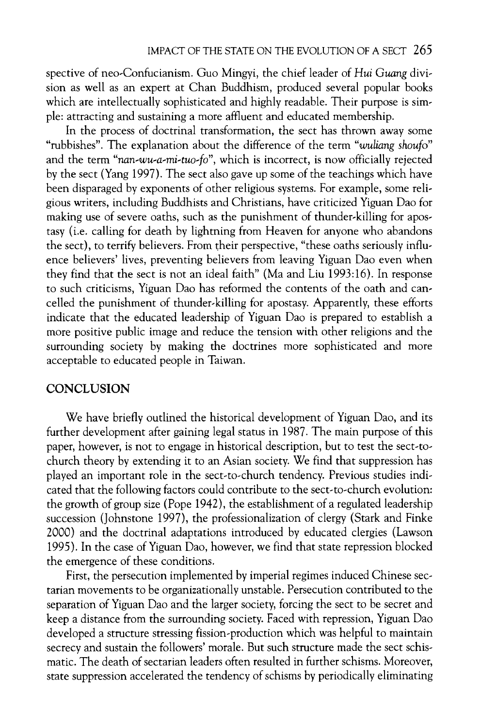**spective of neo-Confucianism. Guo Mingyi, the chief leader of Hui Guang divi sion as well as an expert at Chan Buddhism, produced several popular books which are intellectually sophisticated and highly readable. Their purpose is sim ple: attracting and sustaining a more affluent and educated membership.** 

**In the process of doctrinal transformation, the sect has thrown away some "rubbishes". The explanation about the difference of the term "wuliang shou/o" and the term "nan-wu-a-mi-tuo-fo", which is incorrect, is now officially rejected by the sect (Yang 1997). The sect also gave up some of the teachings which have been disparaged by exponents of other religious systems. For example, some reli gious writers, including Buddhists and Christians, have criticized Yiguan Dao for**  making use of severe oaths, such as the punishment of thunder-killing for apos**tasy (i.e. calling for death by lightning from Heaven for anyone who abandons**  the sect), to terrify believers. From their perspective, "these oaths seriously influ**ence believers' lives, preventing believers from leaving Yiguan Dao even when they find that the sect is not an ideal faith" (Ma and Liu 1993:16). In response to such criticisms, Yiguan Dao has reformed the contents of the oath and can celled the punishment of thunder-killing for apostasy. Apparently, these efforts indicate that the educated leadership of Yiguan Dao is prepared to establish a more positive public image and reduce the tension with other religions and the surrounding society by making the doctrines more sophisticated and more acceptable to educated people in Taiwan.** 

## **CONCLUSION**

**We have briefly outlined the historical development of Yiguan Dao, and its further development after gaining legal status in 1987. The main purpose of this paper, however, is not to engage in historical description, but to test the sect-to church theory by extending it to an Asian society. We find that suppression has**  played an important role in the sect-to-church tendency. Previous studies indi**cated that the following factors could contribute to the sect-to-church evolution: the growth of group size (Pope 1942), the establishment of a regulated leadership succession (Johnstone 1997), the professionalization of clergy (Stark and Finke 2000) and the doctrinal adaptations introduced by educated clergies (Lawson 1995). In the case of Yiguan Dao, however, we find that state repression blocked the emergence of these conditions.** 

**First, the persecution implemented by imperial regimes induced Chinese sec tarian movements to be organizationally unstable. Persecution contributed to the separation of Yiguan Dao and the larger society, forcing the sect to be secret and keep a distance from the surrounding society. Faced with repression, Yiguan Dao developed a structure stressing fission-production which was helpful to maintain secrecy and sustain the followers' morale. But such structure made the sect schis matic. The death of sectarian leaders often resulted in further schisms. Moreover, state suppression accelerated the tendency of schisms by periodically eliminating**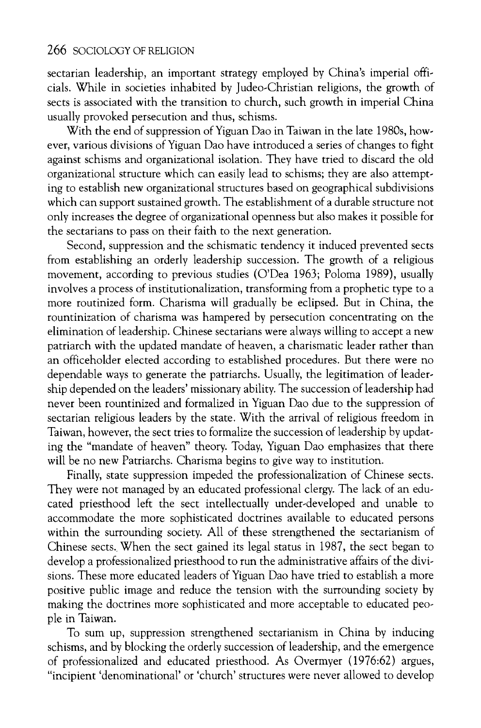sectarian leadership, an important strategy employed by China's imperial offi**cials. While in societies inhabited by Judeo-Christian religions, the growth of sects is associated with the transition to church, such growth in imperial China usually provoked persecution and thus, schisms.** 

With the end of suppression of Yiguan Dao in Taiwan in the late 1980s, how**ever, various divisions of Yiguan Dao have introduced a series of changes to fight against schisms and organizational isolation. They have tried to discard the old organizational structure which can easily lead to schisms; they are also attempt ing to establish new organizational structures based on geographical subdivisions which can support sustained growth. The establishment of a durable structure not only increases the degree of organizational openness but also makes it possible for the sectarians to pass on their faith to the next generation.** 

**Second, suppression and the schismatic tendency it induced prevented sects from establishing an orderly leadership succession. The growth of a religious movement, according to previous studies (O'Dea 1963; Poloma 1989), usually involves a process of institutionalization, transforming from a prophetic type to a more routinized form. Charisma will gradually be eclipsed. But in China, the rountinization of charisma was hampered by persecution concentrating on the elimination of leadership. Chinese sectarians were always willing to accept a new patriarch with the updated mandate of heaven, a charismatic leader rather than an officeholder elected according to established procedures. But there were no dependable ways to generate the patriarchs. Usually, the legitimation of leader ship depended on the leaders' missionary ability. The succession of leadership had never been rountinized and formalized in Yiguan Dao due to the suppression of sectarian religious leaders by the state. With the arrival of religious freedom in Taiwan, however, the sect tries to formalize the succession of leadership by updat ing the "mandate of heaven" theory. Today, Yiguan Dao emphasizes that there will be no new Patriarchs. Charisma begins to give way to institution.** 

**Finally, state suppression impeded the professionalization of Chinese sects.**  They were not managed by an educated professional clergy. The lack of an edu**cated priesthood left the sect intellectually under-developed and unable to accommodate the more sophisticated doctrines available to educated persons within the surrounding society. All of these strengthened the sectarianism of Chinese sects.. When the sect gained its legal status in 1987, the sect began to develop a professionalized priesthood to run the administrative affairs of the divi sions. These more educated leaders of Yiguan Dao have tried to establish a more positive public image and reduce the tension with the surrounding society by making the doctrines more sophisticated and more acceptable to educated peo ple in Taiwan.** 

**To sum up, suppression strengthened sectarianism in China by inducing schisms, and by blocking the orderly succession of leadership, and the emergence of professionalized and educated priesthood. As Overmyer (1976:62) argues, "incipient 'denominational' or 'church' structures were never allowed to develop**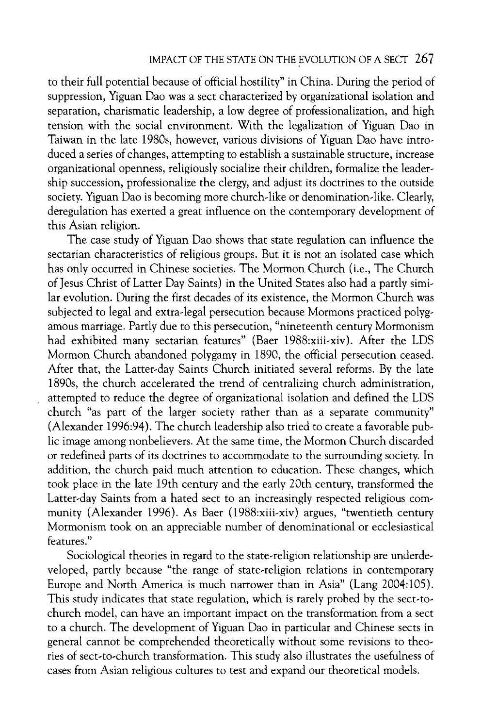**to their full potential because of official hostility" in China. During the period of suppression, Yiguan Dao was a sect characterized by organizational isolation and separation, charismatic leadership, a low degree of professionalization, and high tension with the social environment. With the legalization of Yiguan Dao in Taiwan in the late 1980s, however, various divisions of Yiguan Dao have intro duced a series of changes, attempting to establish a sustainable structure, increase organizational openness, religiously socialize their children, formalize the leader ship succession, professionalize the clergy, and adjust its doctrines to the outside society. Yiguan Dao is becoming more church-like or denomination-like. Clearly, deregulation has exerted a great influence on the contemporary development of this Asian religion.** 

**The case study of Yiguan Dao shows that state regulation can influence the sectarian characteristics of religious groups. But it is not an isolated case which has only occurred in Chinese societies. The Mormon Church (i.e., The Church of Jesus Christ of Latter Day Saints) in the United States also had a partly simi lar evolution. During the first decades of its existence, the Mormon Church was**  subjected to legal and extra-legal persecution because Mormons practiced polyg**amous marriage. Partly due to this persecution, "nineteenth century Mormonism had exhibited many sectarian features" (Baer 1988:xiii-xiv). After the LDS Mormon Church abandoned polygamy in 1890, the official persecution ceased. After that, the Latter-day Saints Church initiated several reforms. By the late 1890s, the church accelerated the trend of centralizing church administration, attempted to reduce the degree of organizational isolation and defined the LDS church "as part of the larger society rather than as a separate community" (Alexander 1996:94). The church leadership also tried to create a favorable pub lic image among nonbelievers. At the same time, the Mormon Church discarded or redefined parts of its doctrines to accommodate to the surrounding society. In addition, the church paid much attention to education. These changes, which took place in the late 19th century and the early 20th century, transformed the Latter-day Saints from a hated sect to an increasingly respected religious com munity (Alexander 1996). As Baer (1988:xiii-xiv) argues, "twentieth century Mormonism took on an appreciable number of denominational or ecclesiastical features."** 

Sociological theories in regard to the state-religion relationship are underde**veloped, partly because "the range of state-religion relations in contemporary Europe and North America is much narrower than in Asia" (Lang 2004:105). This study indicates that state regulation, which is rarely probed by the sect-to church model, can have an important impact on the transformation from a sect to a church. The development of Yiguan Dao in particular and Chinese sects in general cannot be comprehended theoretically without some revisions to theo ries of sect-to-church transformation. This study also illustrates the usefulness of cases from Asian religious cultures to test and expand our theoretical models.**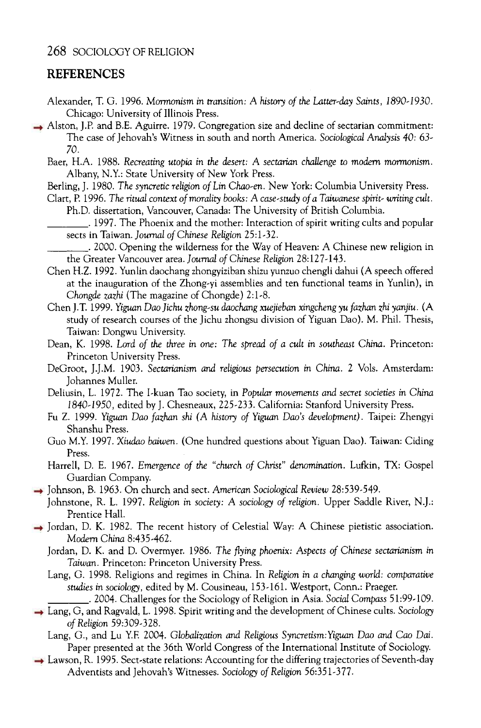#### **REFERENCES**

- **Alexander, T. G. 1996. Mormonism in transition: A history of the Latter-day Saints, 1890-1930. Chicago: University of Illinois Press.**
- **Alston, J.P. and B.E. Aguirre. 1979. Congregation size and decline of sectarian commitment: The case of Jehovah's Witness in south and north America. Sociological Analysis 40: 63 70.** 
	- **Baer, H.A. 1988. Recreating utopia in the desert: A sectarian challenge to modern mormonism. Albany, N.Y.: State University of New York Press.**
	- **Berling, J. 1980. The syncretic religion of Lin Chao-en. New York: Columbia University Press.**
	- **Clart, P. 1996. The ritual context of morality books: A case-study of a Taiwanese spirit- writing cult. Ph.D. dissertation, Vancouver, Canada: The University of British Columbia.** 
		- **\_. 1997. The Phoenix and the mother: Interaction of spirit writing cults and popular sects in Taiwan. Journal of Chinese Religion 25:1-32.**

**\_. 2000. Opening the wilderness for the Way of Heaven: A Chinese new religion in the Greater Vancouver area. Journal of Chinese Religion 28:127-143.** 

- **Chen H.Z. 1992. Yunlin daochang zhongyiziban shizu yunzuo chengli dahui (A speech offered at the inauguration of the Zhong-yi assemblies and ten functional teams in Yunlin), in Chongde zazhi (The magazine of Chongde) 2:1-8.**
- **Chen J.T. 1999. Yiguan Daojichu zhong-su daochang xuejieban xingcheng yufazhan zhi yanjiu. (A study of research courses of the Jichu zhongsu division of Yiguan Dao). M. Phil. Thesis, Taiwan: Dongwu University.**
- **Dean, K. 1998. Lord of the three in one: The spread of a cult in southeast China. Princeton: Princeton University Press.**
- **DeGroot, J.J.M. 1903. Sectarianism and religious persecution in China. 2 Vols. Amsterdam:**  Johannes Muller.
- **Deliusin, L. 1972. The I-kuan Tao society, in Popular movements and secret societies in China 1840-1950, edited by J. Chesneaux, 225-233. California: Stanford University Press.**
- **Fu Z. 1999. Yiguan Dao fazhan shi (A history of Yiguan Daos development). Taipei: Zhengyi Shanshu Press.**
- **Guo M.Y. 1997. Xiudao baiwen. (One hundred questions about Yiguan Dao). Taiwan: Ciding Press.**
- **Harrell, D. E. 1967. Emergence of the "church of Christ" denomination. Lufkin, TX: Gospel Guardian Company.**
- **Johnson, B. 1963. On church and sect. American Sociological Review 28:539-549.** 
	- **Johnstone, R. L. 1997. Religion in society: A sociology of religion. Upper Saddle River, N.J.: Prentice Hall.**
- **Jordan, D. K. 1982. The recent history of Celestial Way: A Chinese pietistic association. Modern China 8:435-462.** 
	- **Jordan, D. K. and D. Overmyer. 1986. The flying phoenix: Aspects of Chinese sectarianism in Taiwan. Princeton: Princeton University Press.**
	- **Lang, G. 1998. Religions and regimes in China. In Religion in a changing world: comparative studies in sociology, edited by M. Cousineau, 153-161. Westport, Conn.: Praeger.** 
		- **\_. 2004. Challenges for the Sociology of Religion in Asia. Social Compass 51:99-109.**
- **Lang, G, and Ragvald, L. 1998. Spirit writing and the development of Chinese cults. Sociohgy of Religion 59:309-328.** 
	- Lang, G., and Lu Y.F. 2004. Globalization and Religious Syncretism: Yiguan Dao and Cao Dai. **Paper presented at the 36th World Congress of the International Institute of Sociology.**
- **Lawson, R. 1995. Sect-state relations: Accounting for the differing trajectories of Seventh-day Adventists and Jehovah's Witnesses. Sociology of Religion 56:351-377.**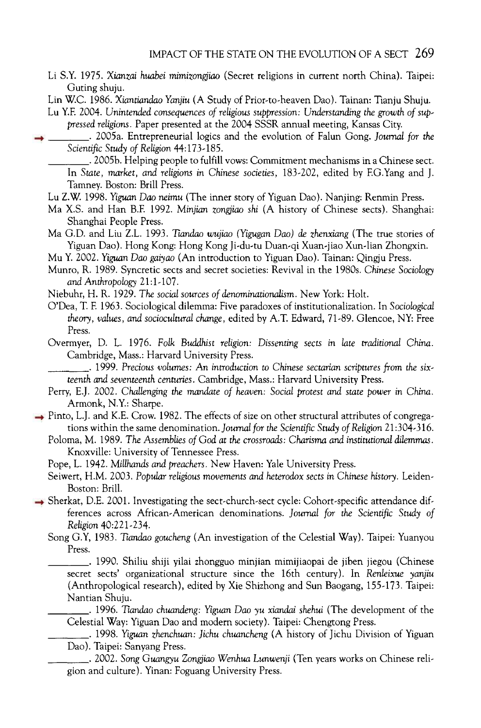**Li S.Y. 1975. Xianzai huabei mimizongjiao (Secret religions in current north China). Taipei:** 

**Guting shuju. Lin W.C. 1986. Xiantiandao Yanjiu (A Study of Prior-to-heaven Dao). Tainan: Tianju Shuju.** 

Lu Y.F. 2004. Unintended consequences of religious suppression: Understanding the growth of sup**pressed religions. Paper presented at the 2004 SSSR annual meeting, Kansas City.** 

**\_. 2005a. Entrepreneurial logics and the evolution of Falun Gong. Journal for the Scientific Study of Religion 44:173-185.** 

**\_. 2005b. Helping people to fulfill vows: Commitment mechanisms in a Chinese sect. In State, market, and religions in Chinese societies, 183-202, edited by F.G.Yang and J. Tamney. Boston: Brill Press.** 

- **Lu Z.W. 1998. Yiguan Dao neimu (The inner story of Yiguan Dao). Nanjing: Renmin Press.**
- **Ma X.S. and Han B.F. 1992. Minjian zongjiao ski (A history of Chinese sects). Shanghai: Shanghai People Press.**
- **Ma G.D. and Liu Z.L. 1993. Tiandao wujiao (Yigugan Dao) de zhenxiang (The true stories of Yiguan Dao). Hong Kong: Hong Kong Ji-du-tu Duan-qi Xuan-jiao Xun-lian Zhongxin.**
- **Mu Y. 2002. Yiguan Dao gaiyao (An introduction to Yiguan Dao). Tainan: Qingju Press.**
- **Munro, R. 1989. Syncretic sects and secret societies: Revival in the 1980s. Chinese Sociology and Anthropology 21:1-107.**
- **Niebuhr, H. R. 1929. The social sources of denominationalism. New York: Holt.**
- **O'Dea, T. F. 1963. Sociological dilemma: Five paradoxes of institutionalization. In Sociological theory, values, and sociocultural change, edited by A.T. Edward, 71-89. Glencoe, NY: Free Press.**
- **Overmyer, D. L. 1976. Folk Buddhist religion: Dissenting sects in late traditional China. Cambridge, Mass.: Harvard University Press.**

**\_. 1999. Precious volumes: An introduction to Chinese sectarian scriptures from the six teenth and seventeenth centuries. Cambridge, Mass.: Harvard University Press.** 

**Perry, E.J. 2002. Challenging the mandate of heaven: Social protest and state power in China. Armonk, N.Y.: Sharpe.** 

**Pinto, L.J. and K.E. Crow. 1982. The effects of size on other structural attributes of congrega tions within the same denomination. Journal for the Scientific Study of Religion 21:304-316.** 

- **Poloma, M. 1989. The Assemblies of God at the crossroads: Charisma and institutional dilemmas. Knoxville: University of Tennessee Press.**
- **Pope, L. 1942. Millhands and preachers. New Haven: Yale University Press.**
- **Seiwert, H.M. 2003. Popular religious movements and heterodox sects in Chinese history. Leiden Boston: Brill.**
- **Sherkat, D.E. 2001. Investigating the sect-church-sect cycle: Cohort-specific attendance dif ferences across African-American denominations. Journal for the Scientific Study of Religion 40:221-234.** 
	- **Song G.Y, 1983. Tiandao goucheng (An investigation of the Celestial Way). Taipei: Yuanyou Press.**

**\_. 1990. Shiliu shiji yilai zhongguo minjian mimijiaopai de jiben jiegou (Chinese secret sects' organizational structure since the 16th century). In Renieixue yanjiu (Anthropological research), edited by Xie Shizhong and Sun Baogang, 155-173. Taipei: Nantian Shuju.** 

**\_. 1996. Tiandao chuandeng: Yiguan Dao yu xiandai shehui (The development of the Celestial Way: Yiguan Dao and modern society). Taipei: Chengtong Press.** 

**\_. 1998. Yiguan zhenchuan: Jichu chuancheng (A history of Jichu Division of Yiguan Dao). Taipei: Sanyang Press.** 

**\_. 2002. Song Guangyu Zongjiao Wenhua Lunwenji (Ten years works on Chinese reli gion and culture). Yinan: Foguang University Press.**